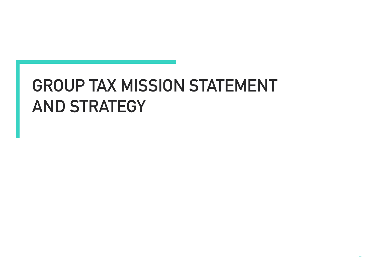## **GROUP TAX MISSION STATEMENT AND STRATEGY**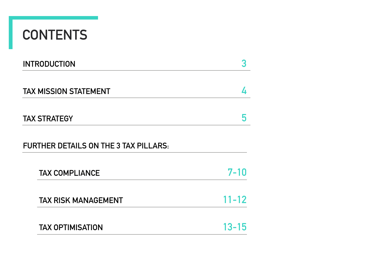## **CONTENTS**

| <b>INTRODUCTION</b>                          | 3         |
|----------------------------------------------|-----------|
| <b>TAX MISSION STATEMENT</b>                 | 4         |
| <b>TAX STRATEGY</b>                          | 5         |
| <b>FURTHER DETAILS ON THE 3 TAX PILLARS:</b> |           |
| <b>TAX COMPLIANCE</b>                        | $7 - 10$  |
| <b>TAX RISK MANAGEMENT</b>                   | $11 - 12$ |
| <b>TAX OPTIMISATION</b>                      | $13 - 15$ |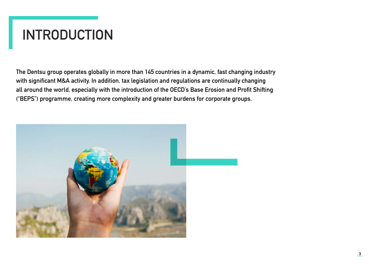## **INTRODUCTION**

**The Dentsu group operates globally in more than 145 countries in a dynamic, fast changing industry with significant M&A activity. In addition, tax legislation and regulations are continually changing all around the world, especially with the introduction of the OECD's Base Erosion and Profit Shifting ("BEPS") programme, creating more complexity and greater burdens for corporate groups.** 

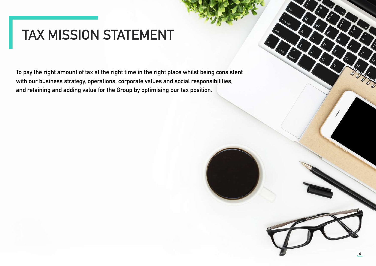### **TAX MISSION STATEMENT**

**To pay the right amount of tax at the right time in the right place whilst being consistent with our business strategy, operations, corporate values and social responsibilities, and retaining and adding value for the Group by optimising our tax position.**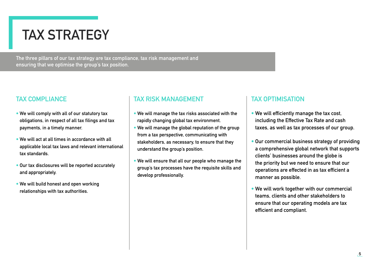## **TAX STRATEGY**

**The three pillars of our tax strategy are tax compliance, tax risk management and ensuring that we optimise the group's tax position.**

#### **TAX COMPLIANCE**

- **• We will comply with all of our statutory tax obligations, in respect of all tax filings and tax payments, in a timely manner.**
- **• We will act at all times in accordance with all applicable local tax laws and relevant international tax standards.**
- **• Our tax disclosures will be reported accurately and appropriately.**
- **• We will build honest and open working relationships with tax authorities.**

#### **TAX RISK MANAGEMENT**

- **• We will manage the tax risks associated with the rapidly changing global tax environment.**
- **• We will manage the global reputation of the group from a tax perspective, communicating with stakeholders, as necessary, to ensure that they understand the group's position.**
- **• We will ensure that all our people who manage the group's tax processes have the requisite skills and develop professionally.**

#### **TAX OPTIMISATION**

- **• We will efficiently manage the tax cost, including the Effective Tax Rate and cash taxes, as well as tax processes of our group.**
- **• Our commercial business strategy of providing a comprehensive global network that supports clients' businesses around the globe is the priority but we need to ensure that our operations are effected in as tax efficient a manner as possible.**
- **• We will work together with our commercial teams, clients and other stakeholders to ensure that our operating models are tax efficient and compliant.**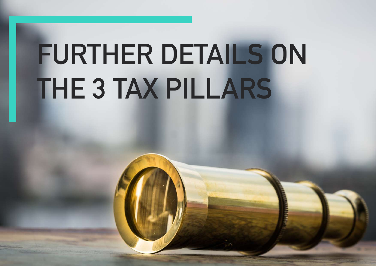# **FURTHER DETAILS ON THE 3 TAX PILLARS**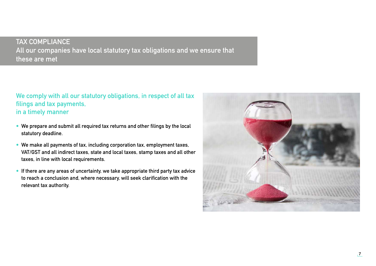**We comply with all our statutory obligations, in respect of all tax filings and tax payments, in a timely manner**

- **• We prepare and submit all required tax returns and other filings by the local statutory deadline.**
- **• We make all payments of tax, including corporation tax, employment taxes, VAT/GST and all indirect taxes, state and local taxes, stamp taxes and all other taxes, in line with local requirements.**
- **• If there are any areas of uncertainty, we take appropriate third party tax advice to reach a conclusion and, where necessary, will seek clarification with the relevant tax authority.**

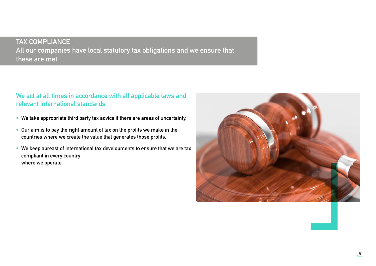#### **We act at all times in accordance with all applicable laws and relevant international standards**

- **• We take appropriate third party tax advice if there are areas of uncertainty.**
- **• Our aim is to pay the right amount of tax on the profits we make in the countries where we create the value that generates those profits.**
- **• We keep abreast of international tax developments to ensure that we are tax compliant in every country where we operate.**

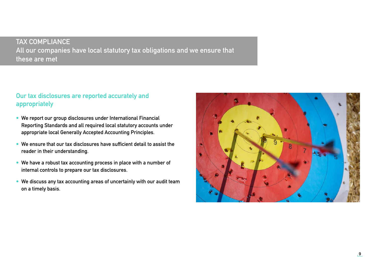#### **Our tax disclosures are reported accurately and appropriately**

- **• We report our group disclosures under International Financial Reporting Standards and all required local statutory accounts under appropriate local Generally Accepted Accounting Principles.**
- **• We ensure that our tax disclosures have sufficient detail to assist the reader in their understanding.**
- **• We have a robust tax accounting process in place with a number of internal controls to prepare our tax disclosures.**
- **• We discuss any tax accounting areas of uncertainly with our audit team on a timely basis.**

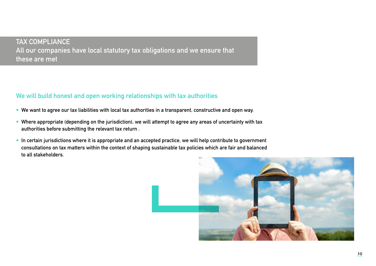#### **We will build honest and open working relationships with tax authorities**

- **• We want to agree our tax liabilities with local tax authorities in a transparent, constructive and open way.**
- **• Where appropriate (depending on the jurisdiction), we will attempt to agree any areas of uncertainty with tax authorities before submitting the relevant tax return .**
- **• In certain jurisdictions where it is appropriate and an accepted practice, we will help contribute to government consultations on tax matters within the context of shaping sustainable tax policies which are fair and balanced to all stakeholders.**

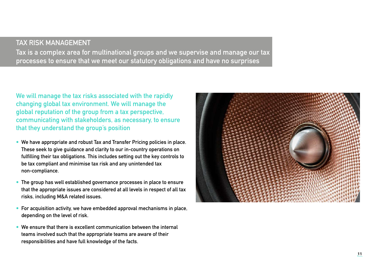#### **TAX RISK MANAGEMENT**

**Tax is a complex area for multinational groups and we supervise and manage our tax processes to ensure that we meet our statutory obligations and have no surprises**

**We will manage the tax risks associated with the rapidly changing global tax environment. We will manage the global reputation of the group from a tax perspective, communicating with stakeholders, as necessary, to ensure that they understand the group's position**

- **• We have appropriate and robust Tax and Transfer Pricing policies in place. These seek to give guidance and clarity to our in-country operations on fulfilling their tax obligations. This includes setting out the key controls to be tax compliant and minimise tax risk and any unintended tax non-compliance.**
- **• The group has well established governance processes in place to ensure that the appropriate issues are considered at all levels in respect of all tax risks, including M&A related issues.**
- **• For acquisition activity, we have embedded approval mechanisms in place, depending on the level of risk.**
- **• We ensure that there is excellent communication between the internal teams involved such that the appropriate teams are aware of their responsibilities and have full knowledge of the facts.**

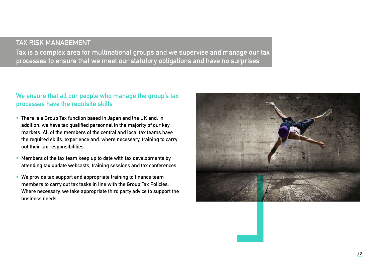#### **TAX RISK MANAGEMENT**

**Tax is a complex area for multinational groups and we supervise and manage our tax processes to ensure that we meet our statutory obligations and have no surprises**

#### **We ensure that all our people who manage the group's tax processes have the requisite skills**

- **• There is a Group Tax function based in Japan and the UK and, in addition, we have tax qualified personnel in the majority of our key markets. All of the members of the central and local tax teams have the required skills, experience and, where necessary, training to carry out their tax responsibilities.**
- **• Members of the tax team keep up to date with tax developments by attending tax update webcasts, training sessions and tax conferences.**
- **• We provide tax support and appropriate training to finance team members to carry out tax tasks in line with the Group Tax Policies. Where necessary, we take appropriate third party advice to support the business needs.**

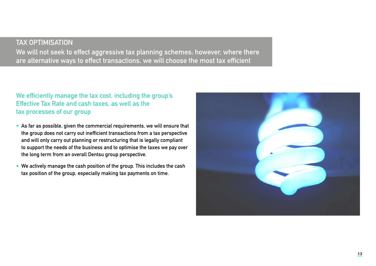#### **TAX OPTIMISATION**

**We will not seek to effect aggressive tax planning schemes; however, where there are alternative ways to effect transactions, we will choose the most tax efficient**

#### **We efficiently manage the tax cost, including the group's Effective Tax Rate and cash taxes, as well as the tax processes of our group**

- **• As far as possible, given the commercial requirements, we will ensure that the group does not carry out inefficient transactions from a tax perspective and will only carry out planning or restructuring that is legally compliant to support the needs of the business and to optimise the taxes we pay over the long term from an overall Dentsu group perspective.**
- **• We actively manage the cash position of the group. This includes the cash tax position of the group, especially making tax payments on time.**

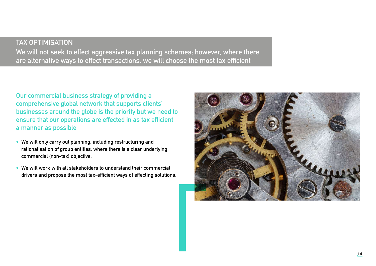#### **TAX OPTIMISATION We will not seek to effect aggressive tax planning schemes; however, where there are alternative ways to effect transactions, we will choose the most tax efficient**

**Our commercial business strategy of providing a comprehensive global network that supports clients' businesses around the globe is the priority but we need to ensure that our operations are effected in as tax efficient a manner as possible**

- **• We will only carry out planning, including restructuring and rationalisation of group entities, where there is a clear underlying commercial (non-tax) objective.**
- **• We will work with all stakeholders to understand their commercial drivers and propose the most tax-efficient ways of effecting solutions.**